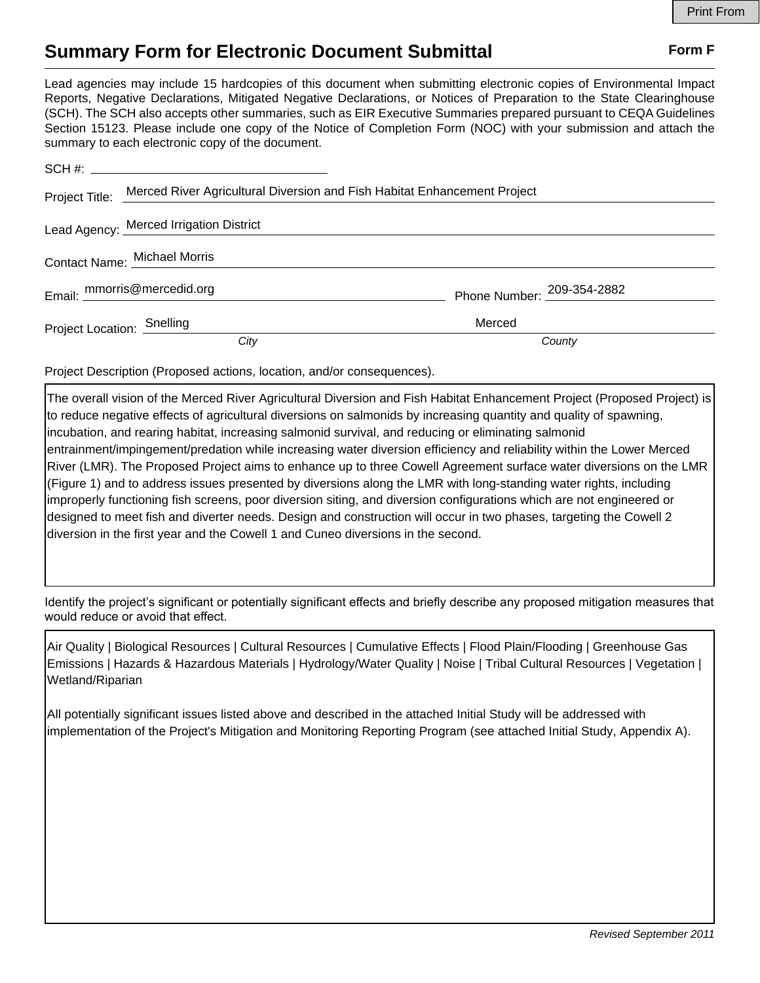## **Summary Form for Electronic Document Submittal Form F Form F**

Lead agencies may include 15 hardcopies of this document when submitting electronic copies of Environmental Impact Reports, Negative Declarations, Mitigated Negative Declarations, or Notices of Preparation to the State Clearinghouse (SCH). The SCH also accepts other summaries, such as EIR Executive Summaries prepared pursuant to CEQA Guidelines Section 15123. Please include one copy of the Notice of Completion Form (NOC) with your submission and attach the summary to each electronic copy of the document.

|                            | Project Title: Merced River Agricultural Diversion and Fish Habitat Enhancement Project |                            |
|----------------------------|-----------------------------------------------------------------------------------------|----------------------------|
|                            | Lead Agency: Merced Irrigation District                                                 |                            |
|                            | Contact Name: Michael Morris                                                            |                            |
|                            | Email: mmorris@mercedid.org                                                             | Phone Number: 209-354-2882 |
| Project Location: Snelling |                                                                                         | Merced                     |
|                            | City                                                                                    | County                     |

Project Description (Proposed actions, location, and/or consequences).

The overall vision of the Merced River Agricultural Diversion and Fish Habitat Enhancement Project (Proposed Project) is to reduce negative effects of agricultural diversions on salmonids by increasing quantity and quality of spawning, incubation, and rearing habitat, increasing salmonid survival, and reducing or eliminating salmonid entrainment/impingement/predation while increasing water diversion efficiency and reliability within the Lower Merced River (LMR). The Proposed Project aims to enhance up to three Cowell Agreement surface water diversions on the LMR (Figure 1) and to address issues presented by diversions along the LMR with long-standing water rights, including improperly functioning fish screens, poor diversion siting, and diversion configurations which are not engineered or designed to meet fish and diverter needs. Design and construction will occur in two phases, targeting the Cowell 2 diversion in the first year and the Cowell 1 and Cuneo diversions in the second.

Identify the project's significant or potentially significant effects and briefly describe any proposed mitigation measures that would reduce or avoid that effect.

Air Quality | Biological Resources | Cultural Resources | Cumulative Effects | Flood Plain/Flooding | Greenhouse Gas Emissions | Hazards & Hazardous Materials | Hydrology/Water Quality | Noise | Tribal Cultural Resources | Vegetation | Wetland/Riparian

All potentially significant issues listed above and described in the attached Initial Study will be addressed with implementation of the Project's Mitigation and Monitoring Reporting Program (see attached Initial Study, Appendix A).